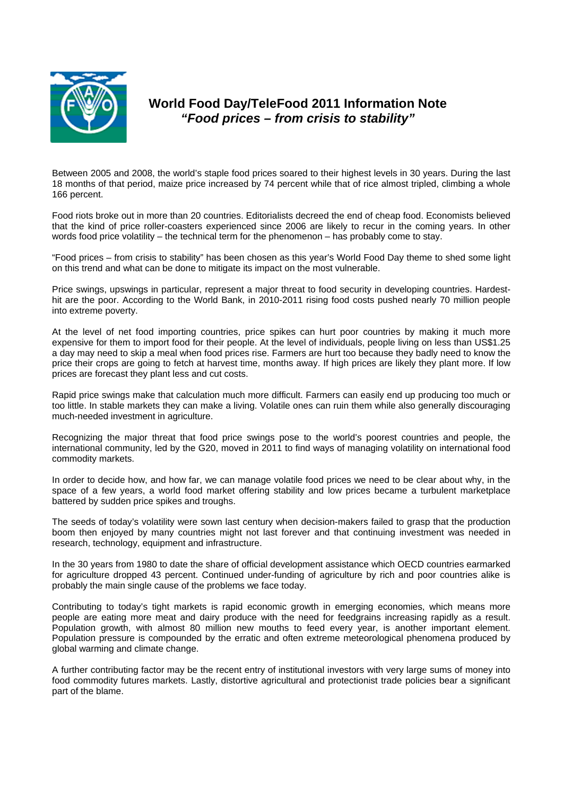

## **World Food Day/TeleFood 2011 Information Note**  *"Food prices – from crisis to stability"*

Between 2005 and 2008, the world's staple food prices soared to their highest levels in 30 years. During the last 18 months of that period, maize price increased by 74 percent while that of rice almost tripled, climbing a whole 166 percent.

Food riots broke out in more than 20 countries. Editorialists decreed the end of cheap food. Economists believed that the kind of price roller-coasters experienced since 2006 are likely to recur in the coming years. In other words food price volatility – the technical term for the phenomenon – has probably come to stay.

"Food prices – from crisis to stability" has been chosen as this year's World Food Day theme to shed some light on this trend and what can be done to mitigate its impact on the most vulnerable.

Price swings, upswings in particular, represent a major threat to food security in developing countries. Hardesthit are the poor. According to the World Bank, in 2010-2011 rising food costs pushed nearly 70 million people into extreme poverty.

At the level of net food importing countries, price spikes can hurt poor countries by making it much more expensive for them to import food for their people. At the level of individuals, people living on less than US\$1.25 a day may need to skip a meal when food prices rise. Farmers are hurt too because they badly need to know the price their crops are going to fetch at harvest time, months away. If high prices are likely they plant more. If low prices are forecast they plant less and cut costs.

Rapid price swings make that calculation much more difficult. Farmers can easily end up producing too much or too little. In stable markets they can make a living. Volatile ones can ruin them while also generally discouraging much-needed investment in agriculture.

Recognizing the major threat that food price swings pose to the world's poorest countries and people, the international community, led by the G20, moved in 2011 to find ways of managing volatility on international food commodity markets.

In order to decide how, and how far, we can manage volatile food prices we need to be clear about why, in the space of a few years, a world food market offering stability and low prices became a turbulent marketplace battered by sudden price spikes and troughs.

The seeds of today's volatility were sown last century when decision-makers failed to grasp that the production boom then enjoyed by many countries might not last forever and that continuing investment was needed in research, technology, equipment and infrastructure.

In the 30 years from 1980 to date the share of official development assistance which OECD countries earmarked for agriculture dropped 43 percent. Continued under-funding of agriculture by rich and poor countries alike is probably the main single cause of the problems we face today.

Contributing to today's tight markets is rapid economic growth in emerging economies, which means more people are eating more meat and dairy produce with the need for feedgrains increasing rapidly as a result. Population growth, with almost 80 million new mouths to feed every year, is another important element. Population pressure is compounded by the erratic and often extreme meteorological phenomena produced by global warming and climate change.

A further contributing factor may be the recent entry of institutional investors with very large sums of money into food commodity futures markets. Lastly, distortive agricultural and protectionist trade policies bear a significant part of the blame.